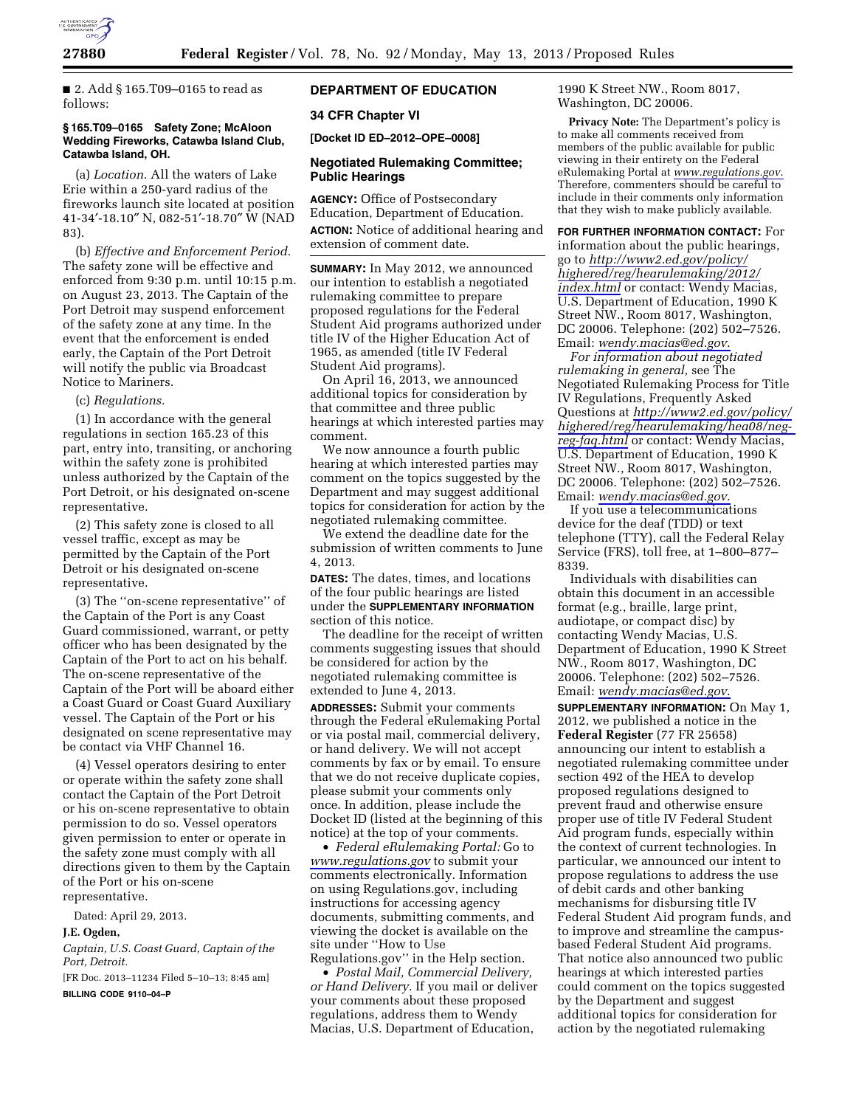

■ 2. Add § 165.T09-0165 to read as follows:

### **§ 165.T09–0165 Safety Zone; McAloon Wedding Fireworks, Catawba Island Club, Catawba Island, OH.**

(a) *Location.* All the waters of Lake Erie within a 250-yard radius of the fireworks launch site located at position 41-34′-18.10″ N, 082-51′-18.70″ W (NAD 83).

(b) *Effective and Enforcement Period.*  The safety zone will be effective and enforced from 9:30 p.m. until 10:15 p.m. on August 23, 2013. The Captain of the Port Detroit may suspend enforcement of the safety zone at any time. In the event that the enforcement is ended early, the Captain of the Port Detroit will notify the public via Broadcast Notice to Mariners.

### (c) *Regulations.*

(1) In accordance with the general regulations in section 165.23 of this part, entry into, transiting, or anchoring within the safety zone is prohibited unless authorized by the Captain of the Port Detroit, or his designated on-scene representative.

(2) This safety zone is closed to all vessel traffic, except as may be permitted by the Captain of the Port Detroit or his designated on-scene representative.

(3) The ''on-scene representative'' of the Captain of the Port is any Coast Guard commissioned, warrant, or petty officer who has been designated by the Captain of the Port to act on his behalf. The on-scene representative of the Captain of the Port will be aboard either a Coast Guard or Coast Guard Auxiliary vessel. The Captain of the Port or his designated on scene representative may be contact via VHF Channel 16.

(4) Vessel operators desiring to enter or operate within the safety zone shall contact the Captain of the Port Detroit or his on-scene representative to obtain permission to do so. Vessel operators given permission to enter or operate in the safety zone must comply with all directions given to them by the Captain of the Port or his on-scene representative.

Dated: April 29, 2013.

#### **J.E. Ogden,**

*Captain, U.S. Coast Guard, Captain of the Port, Detroit.* 

[FR Doc. 2013–11234 Filed 5–10–13; 8:45 am]

**BILLING CODE 9110–04–P** 

# **DEPARTMENT OF EDUCATION**

## **34 CFR Chapter VI**

**[Docket ID ED–2012–OPE–0008]** 

## **Negotiated Rulemaking Committee; Public Hearings**

**AGENCY:** Office of Postsecondary Education, Department of Education. **ACTION:** Notice of additional hearing and extension of comment date.

**SUMMARY:** In May 2012, we announced our intention to establish a negotiated rulemaking committee to prepare proposed regulations for the Federal Student Aid programs authorized under title IV of the Higher Education Act of 1965, as amended (title IV Federal Student Aid programs).

On April 16, 2013, we announced additional topics for consideration by that committee and three public hearings at which interested parties may comment.

We now announce a fourth public hearing at which interested parties may comment on the topics suggested by the Department and may suggest additional topics for consideration for action by the negotiated rulemaking committee.

We extend the deadline date for the submission of written comments to June 4, 2013.

**DATES:** The dates, times, and locations of the four public hearings are listed under the **SUPPLEMENTARY INFORMATION** section of this notice.

The deadline for the receipt of written comments suggesting issues that should be considered for action by the negotiated rulemaking committee is extended to June 4, 2013.

**ADDRESSES:** Submit your comments through the Federal eRulemaking Portal or via postal mail, commercial delivery, or hand delivery. We will not accept comments by fax or by email. To ensure that we do not receive duplicate copies, please submit your comments only once. In addition, please include the Docket ID (listed at the beginning of this notice) at the top of your comments.

• *Federal eRulemaking Portal:* Go to *[www.regulations.gov](http://www.regulations.gov)* to submit your comments electronically. Information on using Regulations.gov, including instructions for accessing agency documents, submitting comments, and viewing the docket is available on the site under ''How to Use Regulations.gov'' in the Help section.

• *Postal Mail, Commercial Delivery, or Hand Delivery.* If you mail or deliver your comments about these proposed regulations, address them to Wendy Macias, U.S. Department of Education,

1990 K Street NW., Room 8017, Washington, DC 20006.

**Privacy Note:** The Department's policy is to make all comments received from members of the public available for public viewing in their entirety on the Federal eRulemaking Portal at *[www.regulations.gov.](http://www.regulations.gov)*  Therefore, commenters should be careful to include in their comments only information that they wish to make publicly available.

**FOR FURTHER INFORMATION CONTACT:** For information about the public hearings, go to *[http://www2.ed.gov/policy/](http://www2.ed.gov/policy/highered/reg/hearulemaking/2012/index.html)  [highered/reg/hearulemaking/2012/](http://www2.ed.gov/policy/highered/reg/hearulemaking/2012/index.html) [index.html](http://www2.ed.gov/policy/highered/reg/hearulemaking/2012/index.html)* or contact: Wendy Macias, U.S. Department of Education, 1990 K Street NW., Room 8017, Washington, DC 20006. Telephone: (202) 502–7526. Email: *[wendy.macias@ed.gov](mailto:wendy.macias@ed.gov)*.

*For information about negotiated rulemaking in general,* see The Negotiated Rulemaking Process for Title IV Regulations, Frequently Asked Questions at *[http://www2.ed.gov/policy/](http://www2.ed.gov/policy/highered/reg/hearulemaking/hea08/neg-reg-faq.html) [highered/reg/hearulemaking/hea08/neg](http://www2.ed.gov/policy/highered/reg/hearulemaking/hea08/neg-reg-faq.html)[reg-faq.html](http://www2.ed.gov/policy/highered/reg/hearulemaking/hea08/neg-reg-faq.html)* or contact: Wendy Macias, U.S. Department of Education, 1990 K Street NW., Room 8017, Washington, DC 20006. Telephone: (202) 502–7526. Email: *[wendy.macias@ed.gov](mailto:wendy.macias@ed.gov)*.

If you use a telecommunications device for the deaf (TDD) or text telephone (TTY), call the Federal Relay Service (FRS), toll free, at 1–800–877– 8339.

Individuals with disabilities can obtain this document in an accessible format (e.g., braille, large print, audiotape, or compact disc) by contacting Wendy Macias, U.S. Department of Education, 1990 K Street NW., Room 8017, Washington, DC 20006. Telephone: (202) 502–7526. Email: *[wendy.macias@ed.gov](mailto:wendy.macias@ed.gov)*.

**SUPPLEMENTARY INFORMATION:** On May 1, 2012, we published a notice in the **Federal Register** (77 FR 25658) announcing our intent to establish a negotiated rulemaking committee under section 492 of the HEA to develop proposed regulations designed to prevent fraud and otherwise ensure proper use of title IV Federal Student Aid program funds, especially within the context of current technologies. In particular, we announced our intent to propose regulations to address the use of debit cards and other banking mechanisms for disbursing title IV Federal Student Aid program funds, and to improve and streamline the campusbased Federal Student Aid programs. That notice also announced two public hearings at which interested parties could comment on the topics suggested by the Department and suggest additional topics for consideration for action by the negotiated rulemaking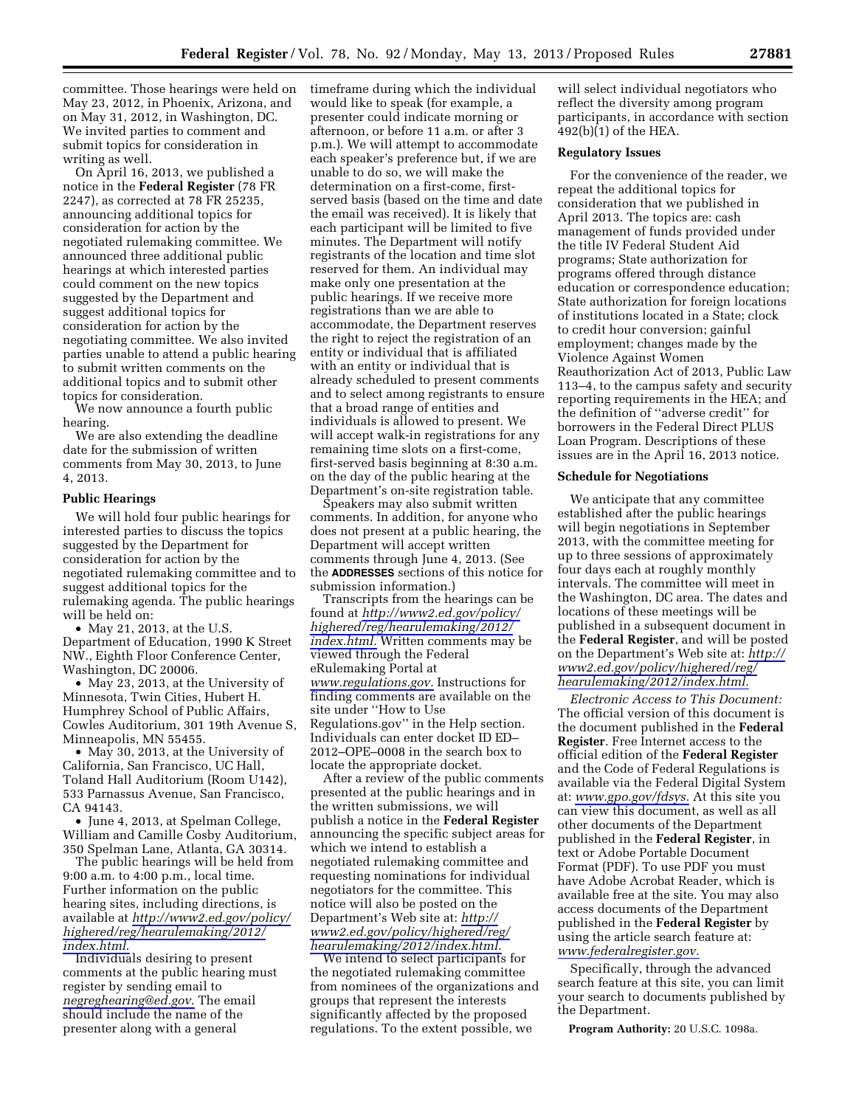committee. Those hearings were held on May 23, 2012, in Phoenix, Arizona, and on May 31, 2012, in Washington, DC. We invited parties to comment and submit topics for consideration in writing as well.

On April 16, 2013, we published a notice in the **Federal Register** (78 FR 2247), as corrected at 78 FR 25235, announcing additional topics for consideration for action by the negotiated rulemaking committee. We announced three additional public hearings at which interested parties could comment on the new topics suggested by the Department and suggest additional topics for consideration for action by the negotiating committee. We also invited parties unable to attend a public hearing to submit written comments on the additional topics and to submit other topics for consideration.

We now announce a fourth public hearing.

We are also extending the deadline date for the submission of written comments from May 30, 2013, to June 4, 2013.

### **Public Hearings**

We will hold four public hearings for interested parties to discuss the topics suggested by the Department for consideration for action by the negotiated rulemaking committee and to suggest additional topics for the rulemaking agenda. The public hearings will be held on:

• May 21, 2013, at the U.S. Department of Education, 1990 K Street NW., Eighth Floor Conference Center, Washington, DC 20006.

• May 23, 2013, at the University of Minnesota, Twin Cities, Hubert H. Humphrey School of Public Affairs, Cowles Auditorium, 301 19th Avenue S, Minneapolis, MN 55455.

• May 30, 2013, at the University of California, San Francisco, UC Hall, Toland Hall Auditorium (Room U142), 533 Parnassus Avenue, San Francisco, CA 94143.

• June 4, 2013, at Spelman College, William and Camille Cosby Auditorium, 350 Spelman Lane, Atlanta, GA 30314.

The public hearings will be held from 9:00 a.m. to 4:00 p.m., local time. Further information on the public hearing sites, including directions, is available at *[http://www2.ed.gov/policy/](http://www2.ed.gov/policy/highered/reg/hearulemaking/2012/index.html)  [highered/reg/hearulemaking/2012/](http://www2.ed.gov/policy/highered/reg/hearulemaking/2012/index.html) [index.html](http://www2.ed.gov/policy/highered/reg/hearulemaking/2012/index.html)*.

Individuals desiring to present comments at the public hearing must register by sending email to *[negreghearing@ed.gov](mailto:negreghearing@ed.gov)*. The email should include the name of the presenter along with a general

timeframe during which the individual would like to speak (for example, a presenter could indicate morning or afternoon, or before 11 a.m. or after 3 p.m.). We will attempt to accommodate each speaker's preference but, if we are unable to do so, we will make the determination on a first-come, firstserved basis (based on the time and date the email was received). It is likely that each participant will be limited to five minutes. The Department will notify registrants of the location and time slot reserved for them. An individual may make only one presentation at the public hearings. If we receive more registrations than we are able to accommodate, the Department reserves the right to reject the registration of an entity or individual that is affiliated with an entity or individual that is already scheduled to present comments and to select among registrants to ensure that a broad range of entities and individuals is allowed to present. We will accept walk-in registrations for any remaining time slots on a first-come, first-served basis beginning at 8:30 a.m. on the day of the public hearing at the Department's on-site registration table.

Speakers may also submit written comments. In addition, for anyone who does not present at a public hearing, the Department will accept written comments through June 4, 2013. (See the **ADDRESSES** sections of this notice for submission information.)

Transcripts from the hearings can be found at *[http://www2.ed.gov/policy/](http://www2.ed.gov/policy/highered/reg/hearulemaking/2012/index.html) [highered/reg/hearulemaking/2012/](http://www2.ed.gov/policy/highered/reg/hearulemaking/2012/index.html) [index.html.](http://www2.ed.gov/policy/highered/reg/hearulemaking/2012/index.html)* Written comments may be viewed through the Federal eRulemaking Portal at *[www.regulations.gov.](http://www.regulations.gov)* Instructions for finding comments are available on the site under ''How to Use Regulations.gov'' in the Help section. Individuals can enter docket ID ED– 2012–OPE–0008 in the search box to locate the appropriate docket.

After a review of the public comments presented at the public hearings and in the written submissions, we will publish a notice in the **Federal Register**  announcing the specific subject areas for which we intend to establish a negotiated rulemaking committee and requesting nominations for individual negotiators for the committee. This notice will also be posted on the Department's Web site at: *[http://](http://www2.ed.gov/policy/highered/reg/hearulemaking/2012/index.html) [www2.ed.gov/policy/highered/reg/](http://www2.ed.gov/policy/highered/reg/hearulemaking/2012/index.html)  [hearulemaking/2012/index.html.](http://www2.ed.gov/policy/highered/reg/hearulemaking/2012/index.html)* 

We intend to select participants for the negotiated rulemaking committee from nominees of the organizations and groups that represent the interests significantly affected by the proposed regulations. To the extent possible, we

will select individual negotiators who reflect the diversity among program participants, in accordance with section 492(b)(1) of the HEA.

## **Regulatory Issues**

For the convenience of the reader, we repeat the additional topics for consideration that we published in April 2013. The topics are: cash management of funds provided under the title IV Federal Student Aid programs; State authorization for programs offered through distance education or correspondence education; State authorization for foreign locations of institutions located in a State; clock to credit hour conversion; gainful employment; changes made by the Violence Against Women Reauthorization Act of 2013, Public Law 113–4, to the campus safety and security reporting requirements in the HEA; and the definition of ''adverse credit'' for borrowers in the Federal Direct PLUS Loan Program. Descriptions of these issues are in the April 16, 2013 notice.

# **Schedule for Negotiations**

We anticipate that any committee established after the public hearings will begin negotiations in September 2013, with the committee meeting for up to three sessions of approximately four days each at roughly monthly intervals. The committee will meet in the Washington, DC area. The dates and locations of these meetings will be published in a subsequent document in the **Federal Register**, and will be posted on the Department's Web site at: *[http://](http://www2.ed.gov/policy/highered/reg/hearulemaking/2012/index.html)  [www2.ed.gov/policy/highered/reg/](http://www2.ed.gov/policy/highered/reg/hearulemaking/2012/index.html)  [hearulemaking/2012/index.html.](http://www2.ed.gov/policy/highered/reg/hearulemaking/2012/index.html)* 

*Electronic Access to This Document:*  The official version of this document is the document published in the **Federal Register**. Free Internet access to the official edition of the **Federal Register**  and the Code of Federal Regulations is available via the Federal Digital System at: *[www.gpo.gov/fdsys.](http://www.gpo.gov/fdsys)* At this site you can view this document, as well as all other documents of the Department published in the **Federal Register**, in text or Adobe Portable Document Format (PDF). To use PDF you must have Adobe Acrobat Reader, which is available free at the site. You may also access documents of the Department published in the **Federal Register** by using the article search feature at: *[www.federalregister.gov.](http://www.federalregister.gov)* 

Specifically, through the advanced search feature at this site, you can limit your search to documents published by the Department.

**Program Authority:** 20 U.S.C. 1098a.